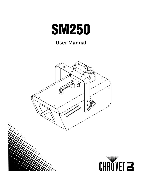

## **User Manual**

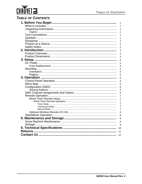# CHAUVET<sup>2</sup>

### **TABLE OF CONTENTS**

| 1                   |
|---------------------|
| 1                   |
| 1                   |
| 1                   |
| 1                   |
| 1                   |
| 1                   |
| $\overline{c}$      |
| $\overline{2}$      |
| 3                   |
| 3                   |
| 3                   |
| 4                   |
| 4                   |
| 4                   |
| 5                   |
| 5                   |
| 5                   |
|                     |
| 6                   |
| 6                   |
| 6                   |
| 6                   |
| 6                   |
| 6                   |
| $\overline{7}$      |
| $\overline{7}$      |
| $\overline{7}$      |
| $\overline{7}$      |
| 7<br>$\overline{7}$ |
|                     |
| 8                   |
| 8                   |
| 9                   |
| 9                   |
| 9                   |
| 10                  |
| 11                  |
| 12                  |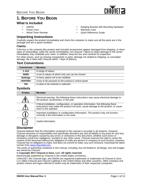

### <span id="page-2-0"></span>**1. BEFORE YOU BEGIN**

#### <span id="page-2-1"></span>**What Is Included**

- SM250
- Power Cord
- Wired Timer Remote

#### <span id="page-2-2"></span>**Unpacking Instructions**

- Hanging Bracket with Mounting Hardware
- Warranty Card
- Quick Reference Guide

Carefully unpack the product immediately and check the container to make sure all the parts are in the package and are in good condition.

#### <span id="page-2-3"></span>**Claims**

If the box or the contents (the product and included accessories) appear damaged from shipping, or show signs of mishandling, notify the carrier immediately, not Chauvet. Failure to report damage to the carrier immediately may invalidate your claim. In addition, keep the box and contents for inspection. For other issues, such as missing components or parts, damage not related to shipping, or concealed damage, file a claim with Chauvet within 7 days of delivery.

### <span id="page-2-4"></span>**Text Conventions**

| <b>CONVENTION</b> | <b>MEANING</b>                                     |
|-------------------|----------------------------------------------------|
| $1 - 512$         | A range of values                                  |
| 50/60             | A set of values of which only one can be chosen    |
| <b>Settings</b>   | A menu option not to be modified                   |
| <enter></enter>   | A key to be pressed on the product's control panel |
| ON                | A value to be entered or selected                  |

#### <span id="page-2-5"></span>**Symbols**

| <b>SYMBOL</b> | <b>MEANING</b>                                                                                                                                                                                    |
|---------------|---------------------------------------------------------------------------------------------------------------------------------------------------------------------------------------------------|
|               | Electrical warning. Not following these instructions may cause electrical damage to<br>the product, accessories, or the user.                                                                     |
|               | Critical installation, configuration, or operation information. Not following these<br>instructions may make the product not work, cause damage to the product, or cause<br>harm to the operator. |
|               | Important installation or configuration information. The product may not function<br>correctly if this information is not used.                                                                   |
|               | Useful information.                                                                                                                                                                               |

#### <span id="page-2-6"></span>**Disclaimer**

Chauvet believes that the information contained in this manual is accurate in all respects. However, Chauvet assumes no responsibility and specifically disclaims any and all liability to any party for any loss, damage or disruption caused by any errors or omissions in this document, whether such errors or omissions result from negligence, accident or any other cause. Chauvet reserves the right to revise the content of this document without any obligation to notify any person or company of such revision, however, Chauvet has no obligation to make, and does not commit to make, any such revisions. Download the latest version from [www.chauvetdj.com](http://www.chauvetdj.com).

The works of authorship contained in this manual, including, but not limited to, all design, text and images are owned by Chauvet.

#### **© Copyright 2017 Chauvet & Sons, LLC. All rights reserved.**

Electronically published by Chauvet in the United States of America.

CHAUVET, the Chauvet logo, and SM250 are registered trademarks or trademarks of Chauvet & Sons LLC (d/b/a Chauvet and Chauvet Lighting) in the United States and other countries. Other company and product names and logos referred to herein may be trademarks of their respective companies.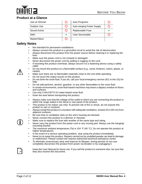

#### <span id="page-3-0"></span>**Product at a Glance**

| Use on Dimmer | Auto Programs                    |  |
|---------------|----------------------------------|--|
| Outdoor Use   | <b>Auto-ranging Power Supply</b> |  |
| Sound-Active  | Replaceable Fuse                 |  |
| <b>DMX</b>    | User-Serviceable                 |  |
| Master/Slave  |                                  |  |

#### <span id="page-3-1"></span>**Safety Notes**

- Not intended for permanent installations.
- Always connect the product to a grounded circuit to avoid the risk of electrocution.
- Always disconnect this product from the power source before cleaning it or replacing the fuse.
- Make sure the power cord is not crimped or damaged.
- Never disconnect the power cord by pulling or tugging on the cord.
- If mounting this product overhead, always secure it to a fastening device using a safety cable.
- Do not mount this product on a flammable surface (e.g., wood, linoleum, carton, plastic, or carpet).
- Make sure there are no flammable materials close to the unit while operating.
- Do not touch the output nozzle on this product.
- Do not drink the snow fluid. If you do, call your local emergency service (911 in the US) for help.
- Do not add perfume, alcohol, gasoline, or any other flammables to the snow fluid.
- In certain environments, snow fluid-based machines may leave a slippery residue on floors and surfaces.
- Use only CHAUVET<sup>®</sup> DJ water-based snow fluid.
- Drain the tank before transporting the product.
- Always make sure that the voltage of the outlet to which you are connecting the product is within the range stated in the decal or rear panel of the product.
- This product is for indoor use only! To prevent risk of fire or shock, do not expose this product to rain or moisture.
- Always install this product in a location with adequate ventilation, at least 20 in (50 cm) from adjacent surfaces.
- Be sure that no ventilation slots on the unit's housing are blocked.
- Never connect this product to a dimmer or rheostat.
- Make sure to replace the fuse with another of the same type and rating.
- Never carry the product from the power cord or any moving part. Always use the hanging/ mounting bracket.
- The maximum ambient temperature (Ta) is 104 °F (40 °C). Do not operate this product at higher temperatures.
- In the event of a serious operating problem, stop using the product immediately.
- Never try to repair this product. Repairs carried out by unskilled people can lead to damage or malfunction. Please contact the nearest authorized technical assistance center.
- To eliminate unnecessary wear and improve its lifespan, during periods of non-use completely disconnect the product from power via breaker or by unplugging it.



Keep this User Manual for future use. If you sell the product to someone else, be sure that they also receive this document.

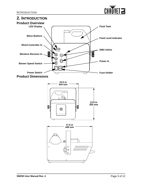

### <span id="page-4-3"></span><span id="page-4-2"></span><span id="page-4-1"></span><span id="page-4-0"></span>**2. INTRODUCTION Product Overview LED Display Fluid Tank Menu Buttons Fluid Level Indicator Wired Controller In DMX In/Out Wireless Receiver In Power In Blower Speed Switch Power Switch Fuse Holder Product Dimensions 13.5 in 344 mm 13.9 in 355 mm**O **17.6 in 449 mm** ₫ F  $\circledcirc$  $11111111111111$ ///////////////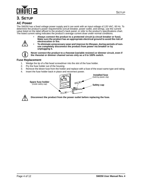



### <span id="page-5-0"></span>**3. SETUP**

#### <span id="page-5-1"></span>**AC Power**

The SM250 has a fixed voltage power supply and it can work with an input voltage of 120 VAC, 60 Hz. To determine the product's power requirements (circuit breaker, power outlet, and wiring), use the current value listed on the label affixed to the product's back panel, or refer to the product's specifications chart. The listed current rating indicates the product's average current draw under normal conditions.



- **Always connect the product to a protected circuit (a circuit breaker or fuse). Make sure the product has an appropriate electrical ground to avoid the risk of electrocution or fire.**
- 
- **To eliminate unnecessary wear and improve its lifespan, during periods of nonuse completely disconnect the product from power via breaker or by unplugging it.**

**Never connect the product to a rheostat (variable resistor) or dimmer circuit, even if the rheostat or dimmer channel serves only as a 0 to 100% switch.**

#### <span id="page-5-2"></span>**Fuse Replacement**

- 1. Wedge the tip of a flat-head screwdriver into the slot of the fuse holder.
- 2. Pry the fuse holder out of the housing.
- 3. Remove the blown fuse from the holder and replace with a fuse of the exact same type and rating.
- 4. Insert the fuse holder back in place and reconnect power.





**Disconnect the product from the power outlet before replacing the fuse.**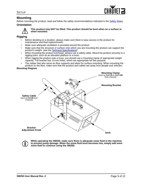

#### <span id="page-6-0"></span>**Mounting**

Before mounting the product, read and follow the safety recommendations indicated in the Safety Notes.

#### <span id="page-6-1"></span>**Orientation**



**This product may NOT be tilted. This product should be level when on a surface or when mounted.**

#### <span id="page-6-2"></span>**Rigging**

- Before deciding on a location, always make sure there is easy access to the product for maintenance and fluid replenishment.
- Make sure adequate ventilation is provided around the product.
- Make sure that the structure or surface onto which you are mounting the product can support the product's weight. (see the Technical Specifications)
- When mounting the product overhead, always use a safety cable. Mount the product securely to a rigging point, such as an elevated platform or a truss.
- When rigging the product onto a truss, you should use a mounting clamp of appropriate weight capacity. The bracket has 13-mm holes, which are appropriate for this purpose.
- The rubber feet also serve as floor supports and allow for surface mounting. When mounting the product on the floor, make sure that the product and cables are away from people and vehicles.

#### **Mounting Diagram**



**While operating the SM250, make sure there is adequate snow fluid in the machine to prevent pump damage. When the snow fluid level becomes low, simply add more snow fluid to continue using the SM250.**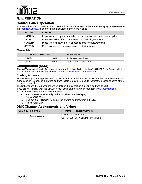

### <span id="page-7-0"></span>**4. OPERATION**

#### <span id="page-7-1"></span>**Control Panel Operation**

To access the control panel functions, use the four buttons located underneath the display. Please refer to the **Product Overview** to see the button locations on the control panel.

| <b>BUTTON</b>          | <b>FUNCTION</b>                                                           |
|------------------------|---------------------------------------------------------------------------|
| <menu></menu>          | Press to find an operation mode or to back out of the current menu option |
| <up></up>              | Press to scroll up the list of options or to find a higher value          |
| <down></down>          | Press to scroll down the list of options or to find a lower value         |
| <b><enter></enter></b> | Press to activate a menu option or a selected value                       |

#### <span id="page-7-2"></span>**Menu Map**

|      | <b>PROGRAMMING LEVELS</b> | <b>DESCRIPTION</b>     |
|------|---------------------------|------------------------|
| Addr | d 1–512                   | DMX starting address   |
| SnoU | $S_0$ -3                  | Standalone snow output |

#### <span id="page-7-3"></span>**Configuration (DMX)**

The SM250 works with a DMX controller. Information about DMX is in the CHAUVET DMX Primer, which is available from the Chauvet website [http://www.chauvetlighting.com/downloads/.](http://www.chauvetlighting.com/downloads/)

#### <span id="page-7-4"></span>**Starting Address**

When selecting a starting DMX address, always consider the number of DMX channels the selected DMX mode uses. If you choose a starting address that is too high, you could restrict the access to some of the product's channels.

The SM250 uses 1 DMX channel, which defines the highest configurable address as **512**.

If you are not familiar with the DMX protocol, download the DMX Primer from [www.chauvetdj.com.](http://www.chauvetdj.com) To select the starting address, do the following:

- 1. Press **<MENU>** repeatedly until **Addr** shows on the display.
- 2. Press **<ENTER>**.
- 3. Use **<UP>** or **<DOWN>** to select the starting address, from **d 1–512**.
- 4. Press **<ENTER>**.

#### <span id="page-7-5"></span>**DMX Channel Assignments and Values**

| <b>CHANNEL FUNCTION</b> |                    | <b>VALUE PERCENT/SETTING</b>                         |
|-------------------------|--------------------|------------------------------------------------------|
|                         | <b>Snow Volume</b> | $ 000 \Leftrightarrow 063 $ No function              |
|                         |                    | $ 064 \Leftrightarrow 255 $ Snow volume, low to high |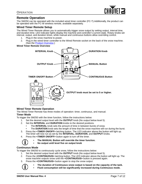

#### <span id="page-8-0"></span>**Remote Operation**

The SM250 can be operated with the included wired timer controller (FC-T).Additionally, the product can be operated with the FC-W wireless remote, available separately.

#### <span id="page-8-1"></span>**Wired Timer Remote Setup**

The Wired Timer Remote allows you to automatically trigger snow output by setting output, interval time, and duration time. LED indicator lights display the machine and controller's current state. Rotary knobs set interval, output, and duration times, while manual and continuous buttons allow overriding control.

- 1. Plug in the snow machine to power.
- 2. Plug in the wired timer controller to the Wired Remote socket on the back of the snow machine. (See the **Product Overview**.)

#### **Wired Timer Remote Overview**



#### <span id="page-8-2"></span>**Wired Timer Remote Operation**

<span id="page-8-3"></span>The Wired Timer Remote has three modes of operation: timer, continuous, and manual. **Timer Mode**

To trigger the SM250 with the timer function, follow the instructions below:

- 1. Set the desired output level with the **OUTPUT** knob (No output below level 5).
- 2. Set the **INTERVAL** and **DURATION** knobs to the desired positions.
	- The **INTERVAL** knob sets the amount of time in between bursts of snow.
	- The **DURATION** knob sets the length of time that the snow machine will run during the burst.
- 3. Press the **<TIMER ON/OFF>** latching button. The LED indicator above the button will light up.
- The timer will now run as set by the **INTERVAL**, **DURATION**, and **OUTPUT** knobs.
- 4. Press the **<TIMER ON/OFF>** button again to turn off the timer.
	-
- **The MANUAL Button will override the timer function.**
- **No output until level five on output knob**

#### <span id="page-8-4"></span>**Continuous Mode**

To trigger the SM250 to continuously cycle snow, follow the instructions below:

- 1. Set the desired output level with the **OUTPUT** knob (No output below level 5).
- 2. Press the **<CONTINUOUS>** latching button. The LED indicator above the button will light up. The snow machine outputs snow until the **<CONTINUOUS>** button is pressed again.
- 3. Press the **<CONTINUOUS>** button again to stop the snow output.
- 
- **The duration of Continuous snow output is based on the capacity of the tank.**
- **Fluid consumption will be significantly increased during Continuous mode.**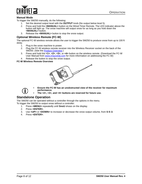

#### <span id="page-9-0"></span>**Manual Mode**

To trigger the SM250 manually, do the following:

- 1. Set the desired output level with the **OUTPUT** knob (No output below level 5).
- 2. Press and hold the **<MANUAL>** button on the Wired Timer Remote. The LED indicator above the button will light up. The snow machine will output snow for as long as you hold down the **<MANUAL>** button.
- 3. Release the **<MANUAL>** button to stop the snow output.

#### <span id="page-9-1"></span>**Optional Wireless Remote (FC-W)**

The optional FC-W wireless remote allows the user to trigger the SM250 to produce snow from up to 100 ft away.

- 1. Plug in the snow machine to power.
- 2. Plug the FC-W wireless remote receiver into the Wireless Receiver socket on the back of the SM250. (See the **Product Overview.)**
- 3. Press and hold the **<1>**, **<2>**, **<3>**, or **<4>** button on the wireless remote. (Download the FC-W User Manual from [www.chauvetdj.com](http://www.chauvetdj.com) for more information on addressing the FC-W)
- 4. Release the button to stop the snow output.

**FC-W Wireless Remote Overview**



- 
- **Ensure the FC-W has an unobstructed view of the receiver for maximum performance.**
- **The <2>, <3>, and <4> buttons are reserved for future use.**

#### <span id="page-9-2"></span>**Standalone Operation**

The SM250 can be operated without a controller through the options in the menu. To trigger the SM250 to output snow without a controller:

- 1. Press **<MENU>** repeatedly until **SnoU** shows on the display.
- 2. Press **<ENTER>**.
- 3. Use **<UP>** or **<DOWN>** to increase or decrease the snow output volume, from **S 0–3**.
- 4. Press **<ENTER>**.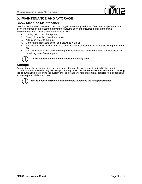

### <span id="page-10-0"></span>**5. MAINTENANCE AND STORAGE**

#### <span id="page-10-1"></span>**Snow Machine Maintenance**

Do not allow the snow machine to become clogged. After every 40 hours of continuous operation, use clean water through the system to prevent the accumulation of particulate matter in the pump.

The recommended cleaning procedure is as follows.

- 1. Unplug the product from power.
- 2. Empty all snow fluid from the machine.
- 3. Add clean water to the tank.
- 4. Connect the product to power and allow it to warm up.
- 5. Run the unit in a well-ventilated area until the tank is almost empty. Do not allow the pump to run dry.
- 6. Refill with snow fluid to continue using the snow machine. Run the machine briefly to clear any remaining water from the pump.

#### **Do Not operate the machine without fluid at any time.**

#### <span id="page-10-2"></span>**Storage**

Before storing the snow machine, run clean water through the system as described in the cleaning procedure above; however, only follow steps 1 through 5. Do not refill the tank with snow fluid if storing **the snow machine**. Cleaning the system prior to storage will help prevent any particles from condensing inside the pump while not in use.



**Test-run your SM250 on a monthly basis to achieve the best performance.**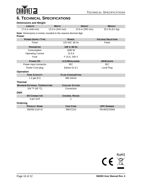

### <span id="page-11-0"></span>**6. TECHNICAL SPECIFICATIONS**

| <b>Dimensions and Weight</b>                                                     |                          |                  |                          |
|----------------------------------------------------------------------------------|--------------------------|------------------|--------------------------|
| <b>LENGTH</b>                                                                    | <b>WIDTH</b>             | <b>HEIGHT</b>    | <b>WEIGHT</b>            |
| 17.6 in (449 mm)                                                                 | 13.5 in (344 mm)         | 13.9 in (355 mm) | 20.2 lb (9.2 kg)         |
| Note: Dimensions in inches rounded to the nearest decimal digit.<br><b>Power</b> |                          |                  |                          |
| <b>POWER SUPPLY TYPE</b>                                                         | <b>RANGE</b>             |                  | <b>VOLTAGE SELECTION</b> |
| Fixed                                                                            | 120 VAC, 60 Hz           |                  | Fixed                    |
| <b>PARAMETER</b>                                                                 | 120 V, 60 Hz             |                  |                          |
| Consumption                                                                      | 1650 W                   |                  |                          |
| <b>Operating Current</b>                                                         | 13.5A                    |                  |                          |
| Fuse                                                                             | F 15 A, 250 V            |                  |                          |
| <b>POWER I/O</b>                                                                 | <b>U.S./WORLDWIDE</b>    |                  | <b>UK/EUROPE</b>         |
| Power input connector                                                            | <b>IEC</b>               |                  | <b>IEC</b>               |
| Power Cord plug                                                                  | Edison (U.S.)            |                  | Local Plug               |
| <b>Operation</b>                                                                 |                          |                  |                          |
| <b>TANK CAPACITY</b>                                                             | <b>FLUID CONSUMPTION</b> |                  |                          |
| 1.3 gal $(51)$                                                                   | 580 ml/min               |                  |                          |
| <b>Thermal</b>                                                                   |                          |                  |                          |
| <b>MAXIMUM EXTERNAL TEMPERATURE</b>                                              | <b>COOLING SYSTEM</b>    |                  |                          |
| 104 °F (40 °C)                                                                   | Convection               |                  |                          |
| <b>DMX</b>                                                                       |                          |                  |                          |
| <b>I/O CONNECTOR</b>                                                             | <b>CHANNEL RANGE</b>     |                  |                          |
| 3-pin XLR                                                                        | 1                        |                  |                          |
| Ordering                                                                         |                          |                  |                          |
| <b>PRODUCT NAME</b>                                                              | <b>ITEM CODE</b>         |                  | <b>UPC NUMBER</b>        |
| SM250 (120 V)                                                                    | 09071210                 |                  | 781462215583             |

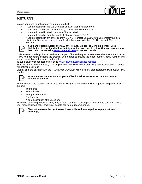

#### **RETURNS**

### <span id="page-12-0"></span>**RETURNS**

In case you need to get support or return a product:

- If you are located in the U.S., contact Chauvet World Headquarters.
- If you are located in the UK or Ireland, contact Chauvet Europe Ltd.
- If you are located in Mexico, contact Chauvet Mexico.
- If you are located in Benelux, contact Chauvet Europe BVBA.
- If you are located in any other country, DO NOT contact Chauvet. Instead, contact your local distributor. See [www.chauvetdj.com](http://www.chauvetdj.com) for distributors outside the U.S., UK, Ireland, Mexico, or Benelux.



#### **If you are located outside the U.S., UK, Ireland, Mexico, or Benelux, contact your distributor of record and follow their instructions on how to return Chauvet products to them. Visit our website [www.chauvetdj.com](http://www.chauvetdj.com) for contact details.**

Call the corresponding Chauvet Technical Support office and request a Return Merchandise Authorization (RMA) number before shipping the product. Be prepared to provide the model number, serial number, and a brief description of the cause for the return.

To submit a service request online, go to [www.chauvetdj.com/service-request](http://www.chauvetdj.com/service-request).

Send the merchandise prepaid, in its original box, and with its original packing and accessories. Chauvet will not issue call tags.

Clearly label the package with the RMA number. Chauvet will refuse any product returned without an RMA number.



#### **Write the RMA number on a properly affixed label. DO NOT write the RMA number directly on the box.**

Before sending the product, clearly write the following information on a piece of paper and place it inside the box:

- Your name
- Your address
- Your phone number
- RMA number
- A brief description of the problem

Be sure to pack the product properly. Any shipping damage resulting from inadequate packaging will be your responsibility. FedEx packing or double-boxing are recommended.



#### **Chauvet reserves the right to use its own discretion to repair or replace returned product(s).**